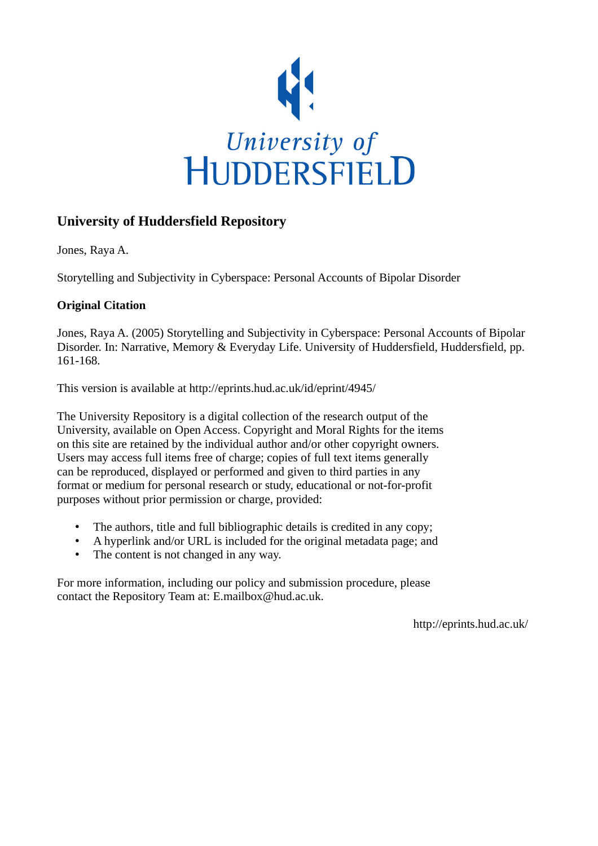

## **University of Huddersfield Repository**

Jones, Raya A.

Storytelling and Subjectivity in Cyberspace: Personal Accounts of Bipolar Disorder

### **Original Citation**

Jones, Raya A. (2005) Storytelling and Subjectivity in Cyberspace: Personal Accounts of Bipolar Disorder. In: Narrative, Memory & Everyday Life. University of Huddersfield, Huddersfield, pp. 161-168.

This version is available at http://eprints.hud.ac.uk/id/eprint/4945/

The University Repository is a digital collection of the research output of the University, available on Open Access. Copyright and Moral Rights for the items on this site are retained by the individual author and/or other copyright owners. Users may access full items free of charge; copies of full text items generally can be reproduced, displayed or performed and given to third parties in any format or medium for personal research or study, educational or not-for-profit purposes without prior permission or charge, provided:

- The authors, title and full bibliographic details is credited in any copy;
- A hyperlink and/or URL is included for the original metadata page; and
- The content is not changed in any way.

For more information, including our policy and submission procedure, please contact the Repository Team at: E.mailbox@hud.ac.uk.

http://eprints.hud.ac.uk/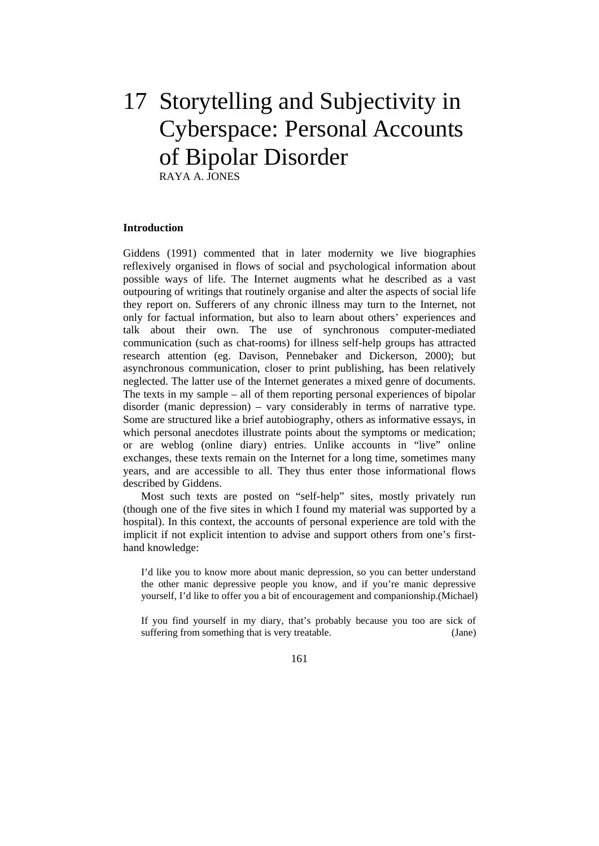# 17 Storytelling and Subjectivity in Cyberspace: Personal Accounts of Bipolar Disorder RAYA A. JONES

#### **Introduction**

Giddens (1991) commented that in later modernity we live biographies reflexively organised in flows of social and psychological information about possible ways of life. The Internet augments what he described as a vast outpouring of writings that routinely organise and alter the aspects of social life they report on. Sufferers of any chronic illness may turn to the Internet, not only for factual information, but also to learn about others' experiences and talk about their own. The use of synchronous computer-mediated communication (such as chat-rooms) for illness self-help groups has attracted research attention (eg. Davison, Pennebaker and Dickerson, 2000); but asynchronous communication, closer to print publishing, has been relatively neglected. The latter use of the Internet generates a mixed genre of documents. The texts in my sample – all of them reporting personal experiences of bipolar disorder (manic depression) – vary considerably in terms of narrative type. Some are structured like a brief autobiography, others as informative essays, in which personal anecdotes illustrate points about the symptoms or medication; or are weblog (online diary) entries. Unlike accounts in "live" online exchanges, these texts remain on the Internet for a long time, sometimes many years, and are accessible to all. They thus enter those informational flows described by Giddens.

 Most such texts are posted on "self-help" sites, mostly privately run (though one of the five sites in which I found my material was supported by a hospital). In this context, the accounts of personal experience are told with the implicit if not explicit intention to advise and support others from one's firsthand knowledge:

I'd like you to know more about manic depression, so you can better understand the other manic depressive people you know, and if you're manic depressive yourself, I'd like to offer you a bit of encouragement and companionship.(Michael)

If you find yourself in my diary, that's probably because you too are sick of suffering from something that is very treatable. (Jane)

161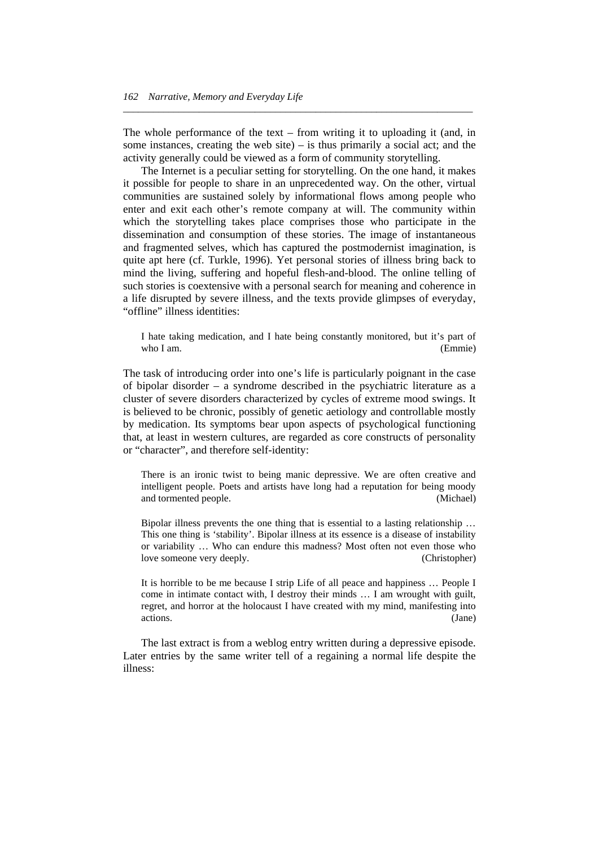The whole performance of the text – from writing it to uploading it (and, in some instances, creating the web site) – is thus primarily a social act; and the activity generally could be viewed as a form of community storytelling.

*\_\_\_\_\_\_\_\_\_\_\_\_\_\_\_\_\_\_\_\_\_\_\_\_\_\_\_\_\_\_\_\_\_\_\_\_\_\_\_\_\_\_\_\_\_\_\_\_\_\_\_\_\_\_\_\_\_\_\_\_\_\_\_\_\_\_\_\_\_* 

 The Internet is a peculiar setting for storytelling. On the one hand, it makes it possible for people to share in an unprecedented way. On the other, virtual communities are sustained solely by informational flows among people who enter and exit each other's remote company at will. The community within which the storytelling takes place comprises those who participate in the dissemination and consumption of these stories. The image of instantaneous and fragmented selves, which has captured the postmodernist imagination, is quite apt here (cf. Turkle, 1996). Yet personal stories of illness bring back to mind the living, suffering and hopeful flesh-and-blood. The online telling of such stories is coextensive with a personal search for meaning and coherence in a life disrupted by severe illness, and the texts provide glimpses of everyday, "offline" illness identities:

I hate taking medication, and I hate being constantly monitored, but it's part of who I am. (Emmie)

The task of introducing order into one's life is particularly poignant in the case of bipolar disorder – a syndrome described in the psychiatric literature as a cluster of severe disorders characterized by cycles of extreme mood swings. It is believed to be chronic, possibly of genetic aetiology and controllable mostly by medication. Its symptoms bear upon aspects of psychological functioning that, at least in western cultures, are regarded as core constructs of personality or "character", and therefore self-identity:

There is an ironic twist to being manic depressive. We are often creative and intelligent people. Poets and artists have long had a reputation for being moody and tormented people. (Michael)

Bipolar illness prevents the one thing that is essential to a lasting relationship … This one thing is 'stability'. Bipolar illness at its essence is a disease of instability or variability … Who can endure this madness? Most often not even those who love someone very deeply. (Christopher)

It is horrible to be me because I strip Life of all peace and happiness … People I come in intimate contact with, I destroy their minds … I am wrought with guilt, regret, and horror at the holocaust I have created with my mind, manifesting into actions. (Jane)

 The last extract is from a weblog entry written during a depressive episode. Later entries by the same writer tell of a regaining a normal life despite the illness: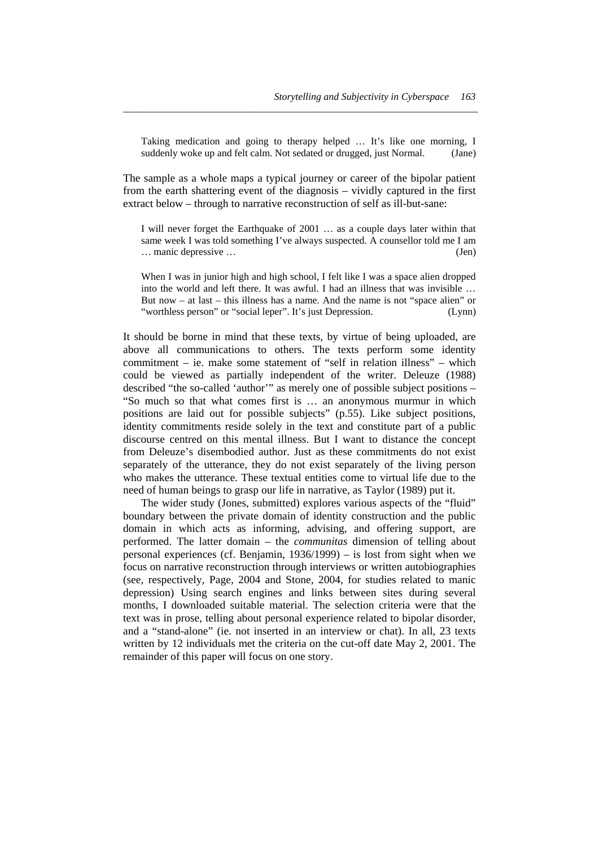Taking medication and going to therapy helped … It's like one morning, I suddenly woke up and felt calm. Not sedated or drugged, just Normal. (Jane)

*\_\_\_\_\_\_\_\_\_\_\_\_\_\_\_\_\_\_\_\_\_\_\_\_\_\_\_\_\_\_\_\_\_\_\_\_\_\_\_\_\_\_\_\_\_\_\_\_\_\_\_\_\_\_\_\_\_\_\_\_\_\_\_\_\_\_\_\_\_\_* 

The sample as a whole maps a typical journey or career of the bipolar patient from the earth shattering event of the diagnosis – vividly captured in the first extract below – through to narrative reconstruction of self as ill-but-sane:

I will never forget the Earthquake of 2001 … as a couple days later within that same week I was told something I've always suspected. A counsellor told me I am … manic depressive … (Jen)

When I was in junior high and high school, I felt like I was a space alien dropped into the world and left there. It was awful. I had an illness that was invisible … But now – at last – this illness has a name. And the name is not "space alien" or "worthless person" or "social leper". It's just Depression. (Lynn)

It should be borne in mind that these texts, by virtue of being uploaded, are above all communications to others. The texts perform some identity commitment – ie. make some statement of "self in relation illness" – which could be viewed as partially independent of the writer. Deleuze (1988) described "the so-called 'author'" as merely one of possible subject positions – "So much so that what comes first is … an anonymous murmur in which positions are laid out for possible subjects" (p.55). Like subject positions, identity commitments reside solely in the text and constitute part of a public discourse centred on this mental illness. But I want to distance the concept from Deleuze's disembodied author. Just as these commitments do not exist separately of the utterance, they do not exist separately of the living person who makes the utterance. These textual entities come to virtual life due to the need of human beings to grasp our life in narrative, as Taylor (1989) put it.

 The wider study (Jones, submitted) explores various aspects of the "fluid" boundary between the private domain of identity construction and the public domain in which acts as informing, advising, and offering support, are performed. The latter domain – the *communitas* dimension of telling about personal experiences (cf. Benjamin, 1936/1999) – is lost from sight when we focus on narrative reconstruction through interviews or written autobiographies (see, respectively, Page, 2004 and Stone, 2004, for studies related to manic depression) Using search engines and links between sites during several months, I downloaded suitable material. The selection criteria were that the text was in prose, telling about personal experience related to bipolar disorder, and a "stand-alone" (ie. not inserted in an interview or chat). In all, 23 texts written by 12 individuals met the criteria on the cut-off date May 2, 2001. The remainder of this paper will focus on one story.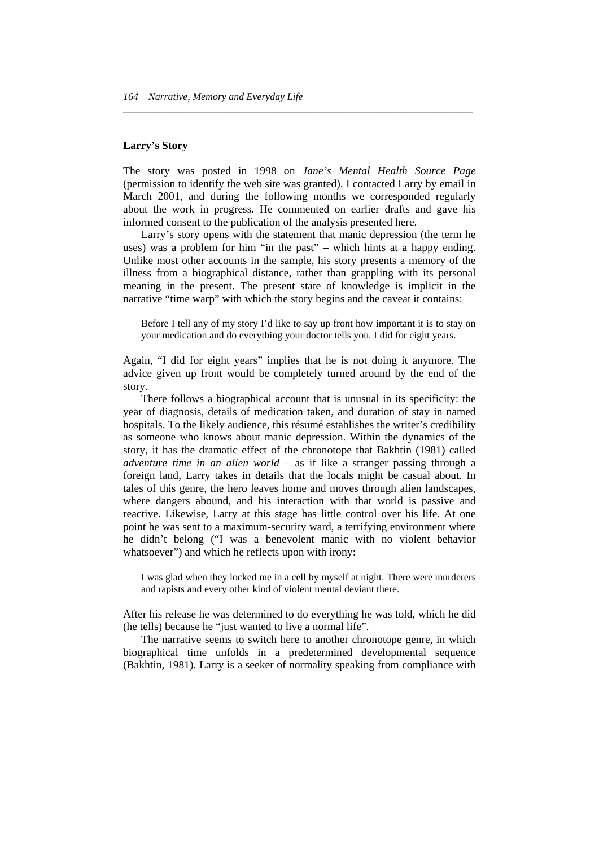#### **Larry's Story**

The story was posted in 1998 on *Jane's Mental Health Source Page* (permission to identify the web site was granted). I contacted Larry by email in March 2001, and during the following months we corresponded regularly about the work in progress. He commented on earlier drafts and gave his informed consent to the publication of the analysis presented here.

*\_\_\_\_\_\_\_\_\_\_\_\_\_\_\_\_\_\_\_\_\_\_\_\_\_\_\_\_\_\_\_\_\_\_\_\_\_\_\_\_\_\_\_\_\_\_\_\_\_\_\_\_\_\_\_\_\_\_\_\_\_\_\_\_\_\_\_\_\_* 

 Larry's story opens with the statement that manic depression (the term he uses) was a problem for him "in the past" – which hints at a happy ending. Unlike most other accounts in the sample, his story presents a memory of the illness from a biographical distance, rather than grappling with its personal meaning in the present. The present state of knowledge is implicit in the narrative "time warp" with which the story begins and the caveat it contains:

Before I tell any of my story I'd like to say up front how important it is to stay on your medication and do everything your doctor tells you. I did for eight years.

Again, "I did for eight years" implies that he is not doing it anymore. The advice given up front would be completely turned around by the end of the story.

 There follows a biographical account that is unusual in its specificity: the year of diagnosis, details of medication taken, and duration of stay in named hospitals. To the likely audience, this résumé establishes the writer's credibility as someone who knows about manic depression. Within the dynamics of the story, it has the dramatic effect of the chronotope that Bakhtin (1981) called *adventure time in an alien world* – as if like a stranger passing through a foreign land, Larry takes in details that the locals might be casual about. In tales of this genre, the hero leaves home and moves through alien landscapes, where dangers abound, and his interaction with that world is passive and reactive. Likewise, Larry at this stage has little control over his life. At one point he was sent to a maximum-security ward, a terrifying environment where he didn't belong ("I was a benevolent manic with no violent behavior whatsoever") and which he reflects upon with irony:

I was glad when they locked me in a cell by myself at night. There were murderers and rapists and every other kind of violent mental deviant there.

After his release he was determined to do everything he was told, which he did (he tells) because he "just wanted to live a normal life".

 The narrative seems to switch here to another chronotope genre, in which biographical time unfolds in a predetermined developmental sequence (Bakhtin, 1981). Larry is a seeker of normality speaking from compliance with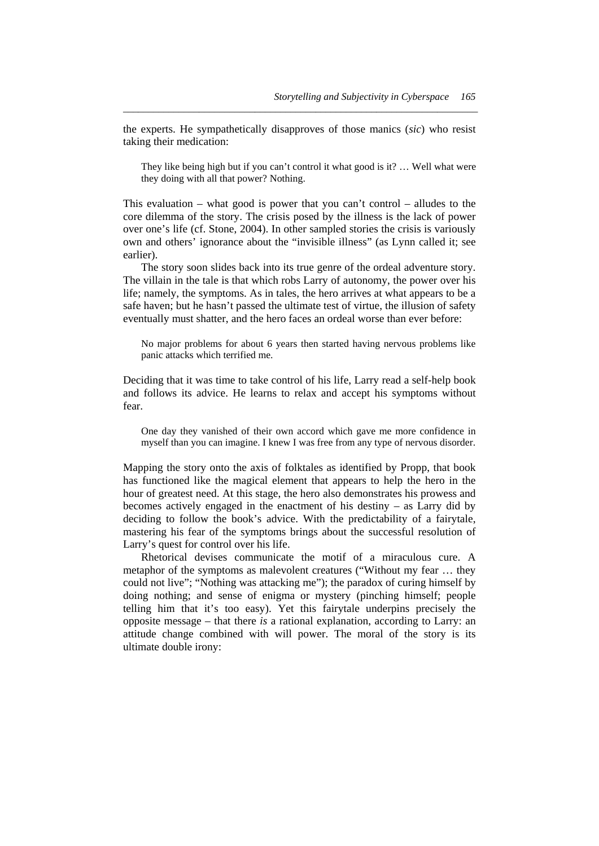the experts. He sympathetically disapproves of those manics (*sic*) who resist taking their medication:

*\_\_\_\_\_\_\_\_\_\_\_\_\_\_\_\_\_\_\_\_\_\_\_\_\_\_\_\_\_\_\_\_\_\_\_\_\_\_\_\_\_\_\_\_\_\_\_\_\_\_\_\_\_\_\_\_\_\_\_\_\_\_\_\_\_\_\_\_\_\_* 

They like being high but if you can't control it what good is it? … Well what were they doing with all that power? Nothing.

This evaluation – what good is power that you can't control – alludes to the core dilemma of the story. The crisis posed by the illness is the lack of power over one's life (cf. Stone, 2004). In other sampled stories the crisis is variously own and others' ignorance about the "invisible illness" (as Lynn called it; see earlier).

 The story soon slides back into its true genre of the ordeal adventure story. The villain in the tale is that which robs Larry of autonomy, the power over his life; namely, the symptoms. As in tales, the hero arrives at what appears to be a safe haven; but he hasn't passed the ultimate test of virtue, the illusion of safety eventually must shatter, and the hero faces an ordeal worse than ever before:

No major problems for about 6 years then started having nervous problems like panic attacks which terrified me.

Deciding that it was time to take control of his life, Larry read a self-help book and follows its advice. He learns to relax and accept his symptoms without fear.

One day they vanished of their own accord which gave me more confidence in myself than you can imagine. I knew I was free from any type of nervous disorder.

Mapping the story onto the axis of folktales as identified by Propp, that book has functioned like the magical element that appears to help the hero in the hour of greatest need. At this stage, the hero also demonstrates his prowess and becomes actively engaged in the enactment of his destiny – as Larry did by deciding to follow the book's advice. With the predictability of a fairytale, mastering his fear of the symptoms brings about the successful resolution of Larry's quest for control over his life.

 Rhetorical devises communicate the motif of a miraculous cure. A metaphor of the symptoms as malevolent creatures ("Without my fear … they could not live"; "Nothing was attacking me"); the paradox of curing himself by doing nothing; and sense of enigma or mystery (pinching himself; people telling him that it's too easy). Yet this fairytale underpins precisely the opposite message – that there *is* a rational explanation, according to Larry: an attitude change combined with will power. The moral of the story is its ultimate double irony: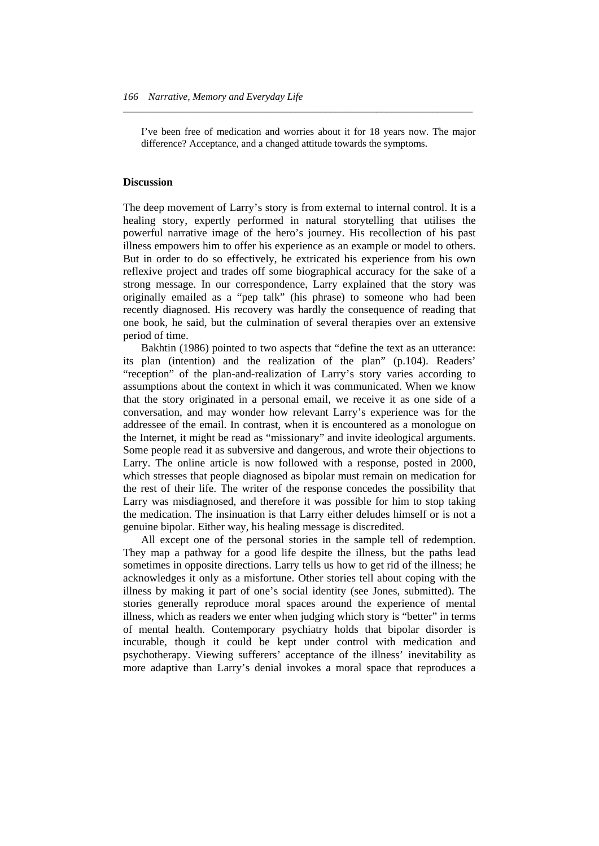I've been free of medication and worries about it for 18 years now. The major difference? Acceptance, and a changed attitude towards the symptoms.

*\_\_\_\_\_\_\_\_\_\_\_\_\_\_\_\_\_\_\_\_\_\_\_\_\_\_\_\_\_\_\_\_\_\_\_\_\_\_\_\_\_\_\_\_\_\_\_\_\_\_\_\_\_\_\_\_\_\_\_\_\_\_\_\_\_\_\_\_\_* 

#### **Discussion**

The deep movement of Larry's story is from external to internal control. It is a healing story, expertly performed in natural storytelling that utilises the powerful narrative image of the hero's journey. His recollection of his past illness empowers him to offer his experience as an example or model to others. But in order to do so effectively, he extricated his experience from his own reflexive project and trades off some biographical accuracy for the sake of a strong message. In our correspondence, Larry explained that the story was originally emailed as a "pep talk" (his phrase) to someone who had been recently diagnosed. His recovery was hardly the consequence of reading that one book, he said, but the culmination of several therapies over an extensive period of time.

 Bakhtin (1986) pointed to two aspects that "define the text as an utterance: its plan (intention) and the realization of the plan" (p.104). Readers' "reception" of the plan-and-realization of Larry's story varies according to assumptions about the context in which it was communicated. When we know that the story originated in a personal email, we receive it as one side of a conversation, and may wonder how relevant Larry's experience was for the addressee of the email. In contrast, when it is encountered as a monologue on the Internet, it might be read as "missionary" and invite ideological arguments. Some people read it as subversive and dangerous, and wrote their objections to Larry. The online article is now followed with a response, posted in 2000, which stresses that people diagnosed as bipolar must remain on medication for the rest of their life. The writer of the response concedes the possibility that Larry was misdiagnosed, and therefore it was possible for him to stop taking the medication. The insinuation is that Larry either deludes himself or is not a genuine bipolar. Either way, his healing message is discredited.

 All except one of the personal stories in the sample tell of redemption. They map a pathway for a good life despite the illness, but the paths lead sometimes in opposite directions. Larry tells us how to get rid of the illness; he acknowledges it only as a misfortune. Other stories tell about coping with the illness by making it part of one's social identity (see Jones, submitted). The stories generally reproduce moral spaces around the experience of mental illness, which as readers we enter when judging which story is "better" in terms of mental health. Contemporary psychiatry holds that bipolar disorder is incurable, though it could be kept under control with medication and psychotherapy. Viewing sufferers' acceptance of the illness' inevitability as more adaptive than Larry's denial invokes a moral space that reproduces a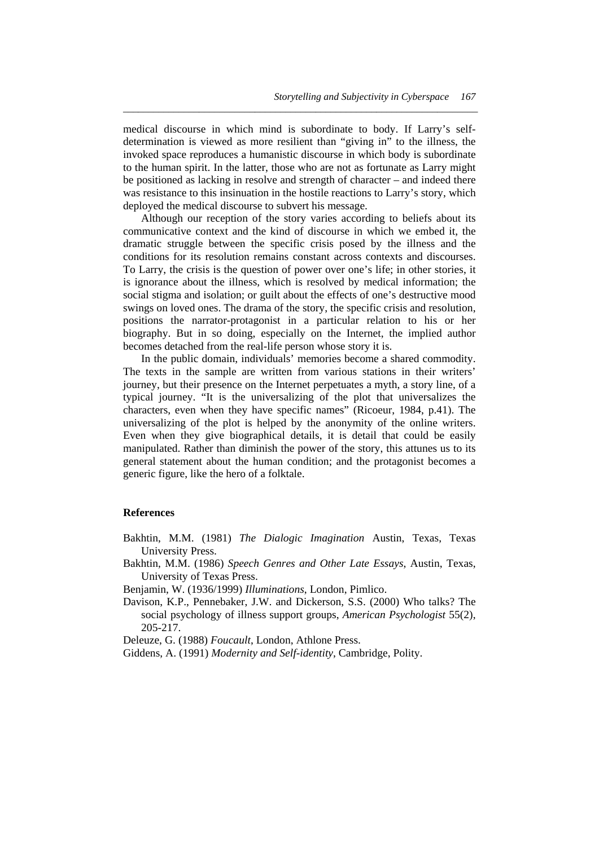medical discourse in which mind is subordinate to body. If Larry's selfdetermination is viewed as more resilient than "giving in" to the illness, the invoked space reproduces a humanistic discourse in which body is subordinate to the human spirit. In the latter, those who are not as fortunate as Larry might be positioned as lacking in resolve and strength of character – and indeed there was resistance to this insinuation in the hostile reactions to Larry's story, which deployed the medical discourse to subvert his message.

*\_\_\_\_\_\_\_\_\_\_\_\_\_\_\_\_\_\_\_\_\_\_\_\_\_\_\_\_\_\_\_\_\_\_\_\_\_\_\_\_\_\_\_\_\_\_\_\_\_\_\_\_\_\_\_\_\_\_\_\_\_\_\_\_\_\_\_\_\_\_* 

 Although our reception of the story varies according to beliefs about its communicative context and the kind of discourse in which we embed it, the dramatic struggle between the specific crisis posed by the illness and the conditions for its resolution remains constant across contexts and discourses. To Larry, the crisis is the question of power over one's life; in other stories, it is ignorance about the illness, which is resolved by medical information; the social stigma and isolation; or guilt about the effects of one's destructive mood swings on loved ones. The drama of the story, the specific crisis and resolution, positions the narrator-protagonist in a particular relation to his or her biography. But in so doing, especially on the Internet, the implied author becomes detached from the real-life person whose story it is.

 In the public domain, individuals' memories become a shared commodity. The texts in the sample are written from various stations in their writers' journey, but their presence on the Internet perpetuates a myth, a story line, of a typical journey. "It is the universalizing of the plot that universalizes the characters, even when they have specific names" (Ricoeur, 1984, p.41). The universalizing of the plot is helped by the anonymity of the online writers. Even when they give biographical details, it is detail that could be easily manipulated. Rather than diminish the power of the story, this attunes us to its general statement about the human condition; and the protagonist becomes a generic figure, like the hero of a folktale.

#### **References**

- Bakhtin, M.M. (1981) *The Dialogic Imagination* Austin, Texas, Texas University Press.
- Bakhtin, M.M. (1986) *Speech Genres and Other Late Essays*, Austin, Texas, University of Texas Press.

Benjamin, W. (1936/1999) *Illuminations*, London, Pimlico.

Davison, K.P., Pennebaker, J.W. and Dickerson, S.S. (2000) Who talks? The social psychology of illness support groups, *American Psychologist* 55(2), 205-217.

Deleuze, G. (1988) *Foucault*, London, Athlone Press.

Giddens, A. (1991) *Modernity and Self-identity*, Cambridge, Polity.